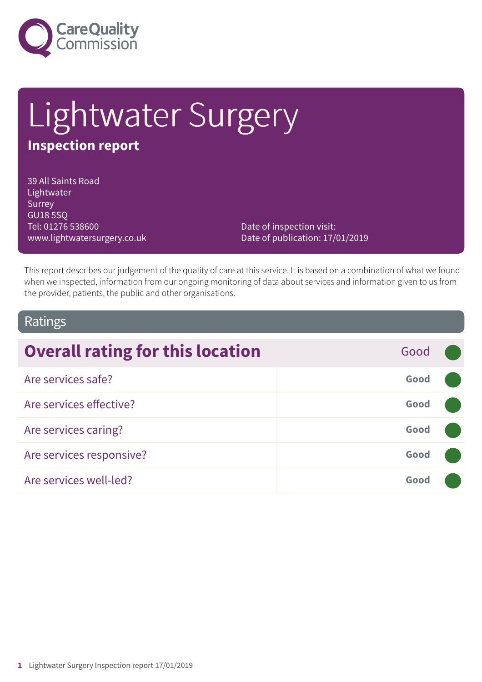

# Lightwater Surgery **Inspection report**

39 All Saints Road Lightwater **Surrey** GU18 5SQ Tel: 01276 538600 www.lightwatersurgery.co.uk

Date of inspection visit: Date of publication: 17/01/2019

This report describes our judgement of the quality of care at this service. It is based on a combination of what we found when we inspected, information from our ongoing monitoring of data about services and information given to us from the provider, patients, the public and other organisations.

### Ratings

| <b>Overall rating for this location</b> | Good |  |
|-----------------------------------------|------|--|
| Are services safe?                      | Good |  |
| Are services effective?                 | Good |  |
| Are services caring?                    | Good |  |
| Are services responsive?                | Good |  |
| Are services well-led?                  | Good |  |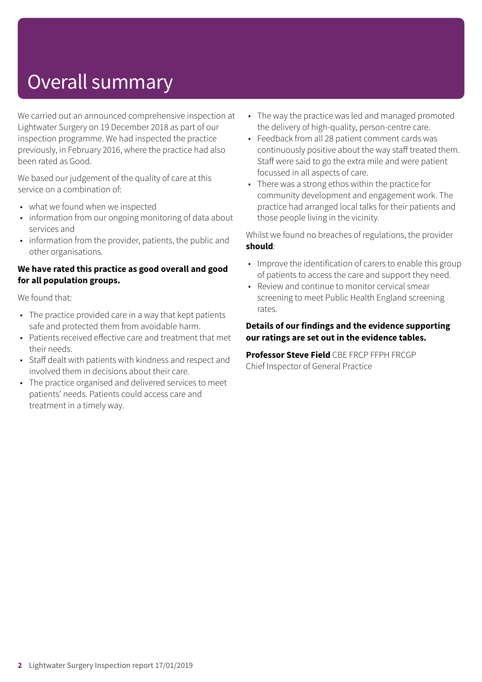## Overall summary

We carried out an announced comprehensive inspection at Lightwater Surgery on 19 December 2018 as part of our inspection programme. We had inspected the practice previously, in February 2016, where the practice had also been rated as Good.

We based our judgement of the quality of care at this service on a combination of:

- what we found when we inspected
- information from our ongoing monitoring of data about services and
- information from the provider, patients, the public and other organisations.

#### **We have rated this practice as good overall and good for all population groups.**

We found that:

- The practice provided care in a way that kept patients safe and protected them from avoidable harm.
- Patients received effective care and treatment that met their needs.
- Staff dealt with patients with kindness and respect and involved them in decisions about their care.
- The practice organised and delivered services to meet patients' needs. Patients could access care and treatment in a timely way.
- The way the practice was led and managed promoted the delivery of high-quality, person-centre care.
- Feedback from all 28 patient comment cards was continuously positive about the way staff treated them. Staff were said to go the extra mile and were patient focussed in all aspects of care.
- There was a strong ethos within the practice for community development and engagement work. The practice had arranged local talks for their patients and those people living in the vicinity.

Whilst we found no breaches of regulations, the provider **should**:

- Improve the identification of carers to enable this group of patients to access the care and support they need.
- Review and continue to monitor cervical smear screening to meet Public Health England screening rates.

#### **Details of our findings and the evidence supporting our ratings are set out in the evidence tables.**

**Professor Steve Field** CBE FRCP FFPH FRCGP Chief Inspector of General Practice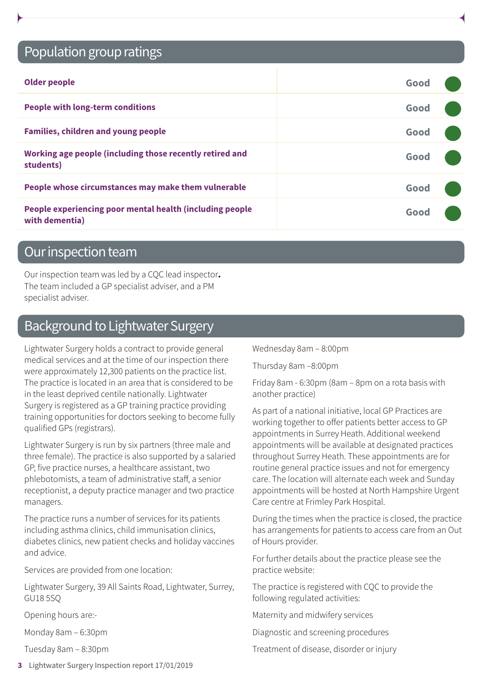## Population group ratings

| <b>Older people</b>                                                        | Good |  |
|----------------------------------------------------------------------------|------|--|
| <b>People with long-term conditions</b>                                    | Good |  |
| <b>Families, children and young people</b>                                 | Good |  |
| Working age people (including those recently retired and<br>students)      | Good |  |
| People whose circumstances may make them vulnerable                        | Good |  |
| People experiencing poor mental health (including people<br>with dementia) | Good |  |

## Our inspection team

Our inspection team was led by a CQC lead inspector**.** The team included a GP specialist adviser, and a PM specialist adviser.

## Background to Lightwater Surgery

Lightwater Surgery holds a contract to provide general medical services and at the time of our inspection there were approximately 12,300 patients on the practice list. The practice is located in an area that is considered to be in the least deprived centile nationally. Lightwater Surgery is registered as a GP training practice providing training opportunities for doctors seeking to become fully qualified GPs (registrars).

Lightwater Surgery is run by six partners (three male and three female). The practice is also supported by a salaried GP, five practice nurses, a healthcare assistant, two phlebotomists, a team of administrative staff, a senior receptionist, a deputy practice manager and two practice managers.

The practice runs a number of services for its patients including asthma clinics, child immunisation clinics, diabetes clinics, new patient checks and holiday vaccines and advice.

Services are provided from one location:

Lightwater Surgery, 39 All Saints Road, Lightwater, Surrey, GU18 5SQ

Opening hours are:-

Monday 8am – 6:30pm

Tuesday 8am – 8:30pm

**3** Lightwater Surgery Inspection report 17/01/2019

Wednesday 8am – 8:00pm

Thursday 8am –8:00pm

Friday 8am - 6:30pm (8am – 8pm on a rota basis with another practice)

As part of a national initiative, local GP Practices are working together to offer patients better access to GP appointments in Surrey Heath. Additional weekend appointments will be available at designated practices throughout Surrey Heath. These appointments are for routine general practice issues and not for emergency care. The location will alternate each week and Sunday appointments will be hosted at North Hampshire Urgent Care centre at Frimley Park Hospital.

During the times when the practice is closed, the practice has arrangements for patients to access care from an Out of Hours provider.

For further details about the practice please see the practice website:

The practice is registered with CQC to provide the following regulated activities:

Maternity and midwifery services

Diagnostic and screening procedures

Treatment of disease, disorder or injury